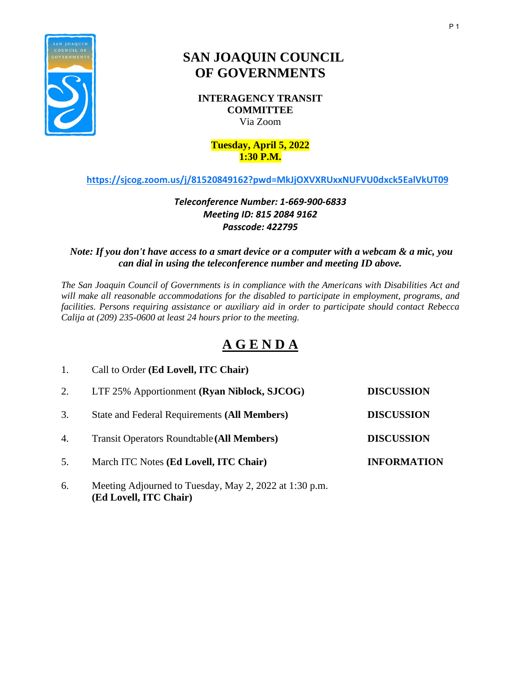

# **SAN JOAQUIN COUNCIL OF GOVERNMENTS**

**INTERAGENCY TRANSIT COMMITTEE** Via Zoom

#### **Tuesday, April 5, 2022 1:30 P.M.**

## **<https://sjcog.zoom.us/j/81520849162?pwd=MkJjOXVXRUxxNUFVU0dxck5EalVkUT09>**

# *Teleconference Number: 1-669-900-6833 Meeting ID: 815 2084 9162 Passcode: 422795*

### *Note: If you don't have access to a smart device or a computer with a webcam & a mic, you can dial in using the teleconference number and meeting ID above.*

*The San Joaquin Council of Governments is in compliance with the Americans with Disabilities Act and will make all reasonable accommodations for the disabled to participate in employment, programs, and facilities. Persons requiring assistance or auxiliary aid in order to participate should contact Rebecca Calija at (209) 235-0600 at least 24 hours prior to the meeting.*

# **A G E N D A**

|    | Call to Order (Ed Lovell, ITC Chair)                |                    |
|----|-----------------------------------------------------|--------------------|
| 2. | LTF 25% Apportionment (Ryan Niblock, SJCOG)         | <b>DISCUSSION</b>  |
| 3. | <b>State and Federal Requirements (All Members)</b> | <b>DISCUSSION</b>  |
| 4. | <b>Transit Operators Roundtable (All Members)</b>   | <b>DISCUSSION</b>  |
| 5. | March ITC Notes (Ed Lovell, ITC Chair)              | <b>INFORMATION</b> |
|    |                                                     |                    |

6. Meeting Adjourned to Tuesday, May 2, 2022 at 1:30 p.m. **(Ed Lovell, ITC Chair)**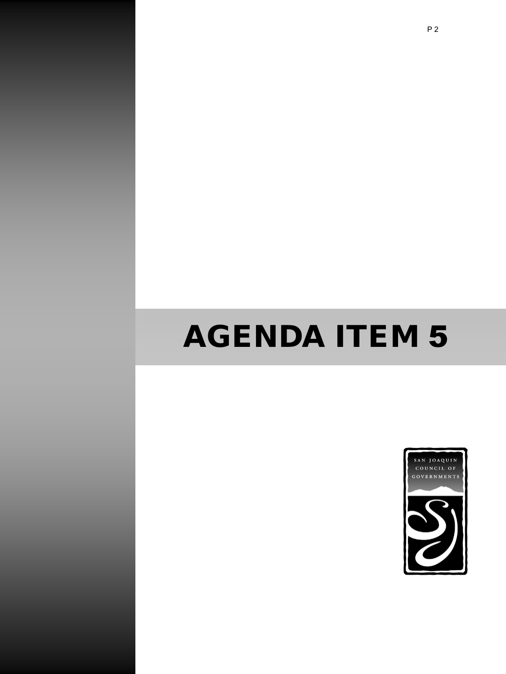# AGENDA ITEM 5

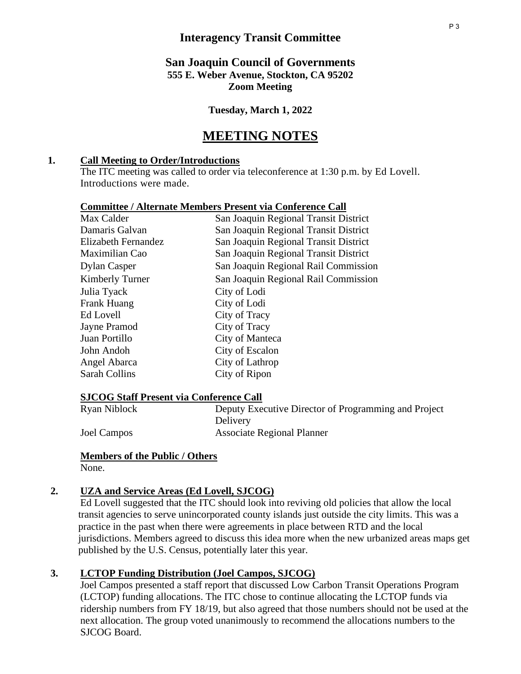# **Interagency Transit Committee**

# **San Joaquin Council of Governments 555 E. Weber Avenue, Stockton, CA 95202 Zoom Meeting**

**Tuesday, March 1, 2022**

# **MEETING NOTES**

### **1. Call Meeting to Order/Introductions**

The ITC meeting was called to order via teleconference at 1:30 p.m. by Ed Lovell. Introductions were made.

| <b>Committee / Alternate Members Present via Conference Call</b> |  |  |  |
|------------------------------------------------------------------|--|--|--|
|                                                                  |  |  |  |

| Max Calder          | San Joaquin Regional Transit District |
|---------------------|---------------------------------------|
| Damaris Galvan      | San Joaquin Regional Transit District |
| Elizabeth Fernandez | San Joaquin Regional Transit District |
| Maximilian Cao      | San Joaquin Regional Transit District |
| Dylan Casper        | San Joaquin Regional Rail Commission  |
| Kimberly Turner     | San Joaquin Regional Rail Commission  |
| Julia Tyack         | City of Lodi                          |
| Frank Huang         | City of Lodi                          |
| Ed Lovell           | City of Tracy                         |
| Jayne Pramod        | City of Tracy                         |
| Juan Portillo       | City of Manteca                       |
| John Andoh          | City of Escalon                       |
| Angel Abarca        | City of Lathrop                       |
| Sarah Collins       | City of Ripon                         |
|                     |                                       |

**SJCOG Staff Present via Conference Call** Deputy Executive Director of Programming and Project Delivery Joel Campos Associate Regional Planner

# **Members of the Public / Others**

None.

# **2. UZA and Service Areas (Ed Lovell, SJCOG)**

Ed Lovell suggested that the ITC should look into reviving old policies that allow the local transit agencies to serve unincorporated county islands just outside the city limits. This was a practice in the past when there were agreements in place between RTD and the local jurisdictions. Members agreed to discuss this idea more when the new urbanized areas maps get published by the U.S. Census, potentially later this year.

# **3. LCTOP Funding Distribution (Joel Campos, SJCOG)**

Joel Campos presented a staff report that discussed Low Carbon Transit Operations Program (LCTOP) funding allocations. The ITC chose to continue allocating the LCTOP funds via ridership numbers from FY 18/19, but also agreed that those numbers should not be used at the next allocation. The group voted unanimously to recommend the allocations numbers to the SJCOG Board.